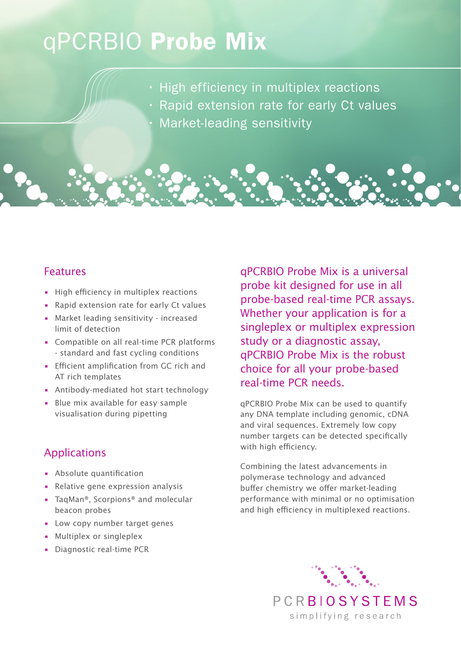## qPCRBIO Probe Mix

- High efficiency in multiplex reactions
- Rapid extension rate for early Ct values
	- Market-leading sensitivity

## Features

- High efficiency in multiplex reactions
- Rapid extension rate for early Ct values
- Market leading sensitivity increased limit of detection
- Compatible on all real-time PCR platforms - standard and fast cycling conditions
- Efficient amplification from GC rich and AT rich templates
- Antibody-mediated hot start technology
- Blue mix available for easy sample visualisation during pipetting

## Applications

- Absolute quantification
- Relative gene expression analysis
- TaqMan<sup>®</sup>, Scorpions<sup>®</sup> and molecular beacon probes
- Low copy number target genes
- Multiplex or singleplex
- Diagnostic real-time PCR

qPCRBIO Probe Mix is a universal probe kit designed for use in all probe-based real-time PCR assays. Whether your application is for a singleplex or multiplex expression study or a diagnostic assay, qPCRBIO Probe Mix is the robust choice for all your probe-based real-time PCR needs.

qPCRBIO Probe Mix can be used to quantify any DNA template including genomic, cDNA and viral sequences. Extremely low copy number targets can be detected specifically with high efficiency.

Combining the latest advancements in polymerase technology and advanced buffer chemistry we offer market-leading performance with minimal or no optimisation and high efficiency in multiplexed reactions.